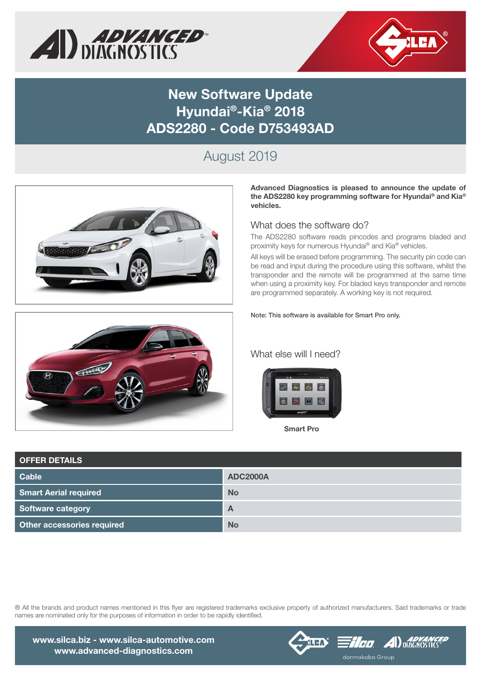



## New Software Update Hyundai®-Kia® 2018 ADS2280 - Code D753493AD

## August 2019





Advanced Diagnostics is pleased to announce the update of the ADS2280 key programming software for Hyundai® and Kia® vehicles.

#### What does the software do?

The ADS2280 software reads pincodes and programs bladed and proximity keys for numerous Hyundai® and Kia® vehicles.

All keys will be erased before programming. The security pin code can be read and input during the procedure using this software, whilst the transponder and the remote will be programmed at the same time when using a proximity key. For bladed keys transponder and remote are programmed separately. A working key is not required.

Note: This software is available for Smart Pro only.

### What else will I need?



Smart Pro

| <b>OFFER DETAILS</b>         |                 |
|------------------------------|-----------------|
| <b>Cable</b>                 | <b>ADC2000A</b> |
| <b>Smart Aerial required</b> | <b>No</b>       |
| Software category            | A               |
| Other accessories required   | <b>No</b>       |

® All the brands and product names mentioned in this flyer are registered trademarks exclusive property of authorized manufacturers. Said trademarks or trade names are nominated only for the purposes of information in order to be rapidly identified.